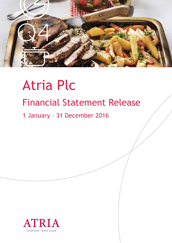

# Atria Plc Financial Statement Release

1 January – 31 December 2016

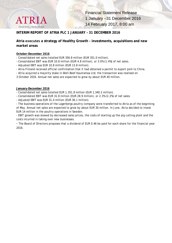

#### **INTERIM REPORT OF ATRIA PLC 1 JANUARY – 31 DECEMBER 2016**

#### **Atria executes a strategy of Healthy Growth - investments, acquisitions and new market areas**

#### **October–December 2016**

- Consolidated net sales totalled EUR 356.8 million (EUR 351.0 million).

- Consolidated EBIT was EUR 10.8 million (EUR 4.8 million), or 3.0% (1.4%) of net sales.
- Adjusted EBIT was EUR 10.8 million (EUR 13.8 million).
- Atria Finland received official confirmation that it had obtained a permit to export pork to China.
- Atria acquired a majority stake in Well-Beef Kaunismaa Ltd; the transaction was realised on

3 October 2016. Annual net sales are expected to grow by about EUR 40 million.

#### **January-December 2016**

- Consolidated net sales totalled EUR 1,351.8 million (EUR 1,340.2 million).
- Consolidated EBIT was EUR 31.8 million (EUR 28.9 million), or 2.3% (2.2%) of net sales.
- Adjusted EBIT was EUR 31.4 million (EUR 36.1 million).

- The business operations of the Lagerbergs poultry company were transferred to Atria as of the beginning of May. Annual net sales are expected to grow by about EUR 30 million. In June, Atria decided to invest EUR 14 million in the poultry operations in Sweden.

- EBIT growth was slowed by decreased sales prices, the costs of starting up the pig cutting plant and the costs incurred in taking over new businesses.

- The Board of Directors proposes that a dividend of EUR 0.46 be paid for each share for the financial year 2016.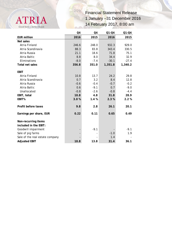

|                                 | Q4     | Q4     | $Q1-Q4$ | $Q1-Q4$ |
|---------------------------------|--------|--------|---------|---------|
| <b>EUR million</b>              | 2016   | 2015   | 2016    | 2015    |
| Net sales                       |        |        |         |         |
| Atria Finland                   | 246.6  | 248.0  | 932.3   | 929.0   |
| Atria Scandinavia               | 88.3   | 83.8   | 343.4   | 330.5   |
| Atria Russia                    | 21.1   | 18.6   | 71.8    | 75.1    |
| Atria Baltic                    | 8.8    | 8.0    | 34.4    | 32.9    |
| Eliminations                    | $-8.0$ | $-7.4$ | $-30.1$ | $-27.4$ |
| <b>Total net sales</b>          | 356.8  | 351.0  | 1,351.8 | 1,340.2 |
| <b>EBIT</b>                     |        |        |         |         |
| Atria Finland                   | 10.8   | 13.7   | 24.2    | 29.8    |
| Atria Scandinavia               | 0.7    | 3.2    | 8.4     | 12.8    |
| Atria Russia                    | $-0.6$ | $-0.4$ | $-0.7$  | $-0.2$  |
| Atria Baltic                    | 0.6    | $-9.1$ | 0.7     | $-9.0$  |
| Unallocated                     | $-0.8$ | $-2.6$ | $-0.8$  | $-4.4$  |
| EBIT, total                     | 10.8   | 4.8    | 31.8    | 28.9    |
| EBIT%                           | 3.0%   | 1.4%   | 2.3%    | 2.2%    |
|                                 |        |        |         |         |
| Profit before taxes             | 9.8    | 2.8    | 26.1    | 20.1    |
| Earnings per share, EUR         | 0.22   | 0.11   | 0.65    | 0.49    |
|                                 |        |        |         |         |
| Non-recurring items             |        |        |         |         |
| included in the EBIT:           |        |        |         |         |
| Goodwill impairment             |        | $-9.1$ |         | $-9.1$  |
| Sale of pig farms               |        |        | $-1.0$  | 1.9     |
| Sale of the real estate company |        |        | 1.4     |         |
| <b>Adjusted EBIT</b>            | 10.8   | 13.8   | 31.4    | 36.1    |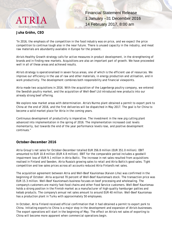

#### **Juha Gröhn, CEO**

"In 2016, the emphasis of the competition in the food industry was on price, and we expect the price competition to continue tough also in the near future. There is unused capacity in the industry, and meat raw materials are abundantly available in Europe for the present.

Atria's Healthy Growth strategy calls for active measures in product development, in the strengthening of brands and in finding new markets. Acquisitions are also an important part of growth. We have proceeded well in all of these areas and achieved results.

Atria's strategy is operationalised in seven focus areas, one of which is the efficient use of resources. We improve our efficiency in the use of raw and other materials, in energy production and utilisation, and in work productivity. The development combines both responsibility and financial viewpoints.

Atria made two acquisitions in 2016. With the acquisition of the Lagerbergs poultry company, we entered the Swedish poultry market, and the acquisition of Well-Beef Ltd introduced new products into our already strong beef offering.

We explore new market areas with determination. Atria's Nurmo plant obtained a permit to export pork to China at the end of 2016, and the first deliveries will be dispatched in May 2017. The goal is for China to become a solid market place for Atria in the coming years.

Continuous development of productivity is imperative. The investment in the new pig cutting plant advanced into implementation in the spring of 2016. The implementation increased cost levels momentarily, but towards the end of the year performance levels rose, and positive development continues."

#### **October–December 2016**

Atria Group's net sales for October-December totalled EUR 356.8 million (EUR 351.0 million). EBIT amounted to EUR 10.8 million (EUR 4.8 million). EBIT for the comparable period includes a goodwill impairment loss of EUR 9.1 million in Atria Baltic. The increase in net sales resulted from acquisitions realised in Finland and Sweden, Atria Russia's growing sales to retail and Atria Baltic's good sales. Tight competition and low sales prices across all accounts reduced Atria Finland's net sales.

The acquisition agreement between Atria and Well-Beef Kaunismaa (Kaivon Liha) was confirmed in the beginning of October. Atria acquired 70 percent of Well-Beef Kaunismaa's stock. The transaction price was EUR 15.3 million. Well-Beef Kaunismaa's business focuses on beef processing and wholesaling. The company's customers are mainly fast-food chains and other Food Service customers. Well-Beef Kaunismaa holds a strong position in the Finnish market as a manufacturer of high-quality hamburger patties and kebab products. The company's annual net sales amount to around EUR 40 million. Well-Beef Kaunismaa has a production plant in Turku with approximately 50 employees.

In October, Atria Finland received official confirmation that it had obtained a permit to export pork to China. Initiating exports to China is a major step in the development and expansion of Atria's businesses. The export operations will start in the beginning of May. The effect on Atria's net sales of exporting to China will become more apparent when commercial operations begin.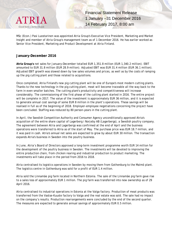

MSc (Econ.) Pasi Luostarinen was appointed Atria Group's Executive Vice President, Marketing and Market Insight and member of Atria Group's management team as of 1 December 2016. He has earlier worked as Senior Vice President, Marketing and Product Development at Atria Finland.

#### **January–December 2016**

**Atria Group's** net sales for January–December totalled EUR 1,351.8 million (EUR 1,340.2 million). EBIT amounted to EUR 31.8 million (EUR 28.9 million). Adjusted EBIT was EUR 31.4 million (EUR 36.1 million). Adjusted EBIT growth was slowed down by low sales volumes and prices, as well as by the costs of ramping up the pig cutting plant and those related to acquisitions.

Once completed, Atria Finland's new pig cutting plant will be one of Europe's most modern cutting plants. Thanks to the new technology in the pig cutting plant, meat will become traceable all the way back to the farm in even smaller batches. The cutting plant's productivity and competitiveness will increase considerably. The commissioning of the first phase of the cutting plant started in 2016. The entire project will be complete in 2017. The value of the investment is approximately EUR 36 million, and it is expected to generate annual cost savings of some EUR 8 million in the plant's operations. These savings will be realised in full as of the beginning of 2018. Employer-employee negotiations concerning the project have been concluded. Staffing was reduced by 80 person-years in the cutting plant.

In April, the Swedish Competition Authority and Consumer Agency unconditionally approved Atria's acquisition of the entire share capital of Lagerberg i Norjeby AB (Lagerbergs), a Swedish poultry company. The agreement between Atria and Lagerbergs was confirmed at the end of April and the business operations were transferred to Atria as of the start of May. The purchase price was EUR 18.7 million, and it was paid in cash. Atria's annual net sales are expected to grow by about EUR 30 million. The transaction expands Atria's business in Sweden into the poultry business.

In June, Atria's Board of Directors approved a long-term investment programme worth EUR 14 million for the development of the poultry business in Sweden. The investments will be devoted to improving the entire production chain, from chicken rearing and industrial production to product marketing. The investments will take place in the period from 2016 to 2018.

Atria centralised its logistics operations in Sweden by moving them from Gothenburg to the Malmö plant. The logistics centre in Gothenburg was sold for a profit of EUR 1.4 million.

Atria sold the Linnamäe pig farm located in Northern Estonia. The sale of the Linnamäe pig farm gave rise to a sales loss of approximately EUR 1 million. The pig farm was transferred into new ownership as of 29 April 2016.

Atria centralised its industrial operations in Estonia at the Valga factory. Production of meat products was transferred from the Vastse-Kuuste factory to Valga and the real estate was sold. The sale had no impact on the company's results. Production rearrangements were concluded by the end of the second quarter. The measures are expected to generate annual savings of approximately EUR 0.5 million.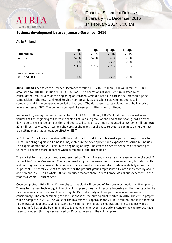

#### **Business development by area January–December 2016**

#### **Atria Finland**

|                      | Q4                       | Q4    | $Q1 - Q4$                | $Q1 - Q4$ |
|----------------------|--------------------------|-------|--------------------------|-----------|
| <b>EUR million</b>   | 2016                     | 2015  | 2016                     | 2015      |
| Net sales            | 246.6                    | 248.0 | 932.3                    | 929.0     |
| <b>EBIT</b>          | 10.8                     | 13.7  | 24.2                     | 29.8      |
| EBIT%                | 4.4 %                    | 5.5%  | 2.6 %                    | 3.2%      |
|                      |                          |       |                          |           |
| Non-recurring items  | $\overline{\phantom{0}}$ |       | $\overline{\phantom{0}}$ |           |
| <b>Adjusted EBIT</b> | 10.8                     | 13.7  | 24.2                     | 29.8      |

**Atria Finland's** net sales for October–December totalled EUR 246.6 million (EUR 248.0 million). EBIT amounted to EUR 10.8 million (EUR 13.7 million). The operations of Well-Beef Kaunismaa were consolidated into Atria as of the beginning of October. Atria did not take part in the intensified price competition in the retail and Food Service markets and, as a result, sales volumes decreased in comparison with the comparable period of last year. The decrease in sales volumes and the low price levels depressed EBIT. The commissioning of the new pig cutting plant continued.

Net sales for January-December amounted to EUR 932.3 million (EUR 929.0 million). Increased sales volumes at the beginning of the year enabled net sales to grow. At the end of the year, growth slowed down due to tight price competition and decreased sales prices. EBIT amounted to EUR 24.2 million (EUR 29.8 million). Low sales prices and the costs of the transitional phase related to commissioning the new pig cutting plant had a negative effect on EBIT.

In October, Atria Finland received official confirmation that it had obtained a permit to export pork to China. Initiating exports to China is a major step in the development and expansion of Atria's businesses. The export operations will start in the beginning of May. The effect on Atria's net sales of exporting to China will become more apparent when commercial operations begin.

The market for the product groups represented by Atria in Finland showed an increase in value of about 2 percent in October-December. The largest market growth element was convenience food, but also poultry and cooking products grew slightly. Atria's producer market share in retail trade was slightly more than 23 percent. The total value of the market for the product groups represented by Atria increased by about one percent in 2016 as a whole. Atria's producer market share in retail trade was about 25 percent in the year as a whole. (Source: Atria)

Once completed, Atria Finland's new pig cutting plant will be one of Europe's most modern cutting plants. Thanks to the new technology in the pig cutting plant, meat will become traceable all the way back to the farm in even smaller batches. The cutting plant's productivity and competitiveness will increase considerably. The commissioning of the first phase of the cutting plant started in 2016. The entire project will be complete in 2017. The value of the investment is approximately EUR 36 million, and it is expected to generate annual cost savings of some EUR 8 million in the plant's operations. These savings will be realised in full as of the beginning of 2018. Employer-employee negotiations concerning the project have been concluded. Staffing was reduced by 80 person-years in the cutting plant.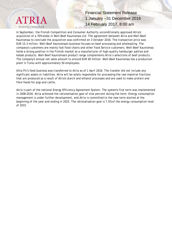

In September, the Finnish Competition and Consumer Authority unconditionally approved Atria's acquisition of a 70% stake in Well-Beef Kaunismaa Ltd. The agreement between Atria and Well-Beef Kaunismaa to conclude the acquisition was confirmed on 3 October 2016. The transaction price was EUR 15.3 million. Well-Beef Kaunismaa's business focuses on beef processing and wholesaling. The company's customers are mainly fast-food chains and other Food Service customers. Well-Beef Kaunismaa holds a strong position in the Finnish market as a manufacturer of high-quality hamburger patties and kebab products. Well-Beef Kaunismaa's product range complements Atria's selections of beef products. The company's annual net sales amount to around EUR 40 million. Well-Beef Kaunismaa has a production plant in Turku with approximately 50 employees.

Altia Plc's feed business was transferred to Atria as of 1 April 2016. The transfer did not include any significant assets or liabilities. Atria will be solely responsible for processing the raw-material fractions that are produced as a result of Atria's starch and ethanol processes and are used to make protein and fibre feeds for pigs and cattle.

Atria is part of the national Energy Efficiency Agreement System. The system's first term was implemented in 2008–2016. Atria achieved the rationalisation goal of nine percent during the term. Energy consumption management is under further development, and Atria is committed to the new term started at the beginning of the year and ending in 2025. The rationalisation goal is 7.5% of the energy consumption level of 2015.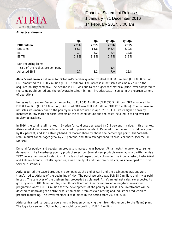

#### **Atria Scandinavia**

|                                 | Q4                       | Q4   | $Q1 - Q4$ | $Q1 - Q4$ |
|---------------------------------|--------------------------|------|-----------|-----------|
| <b>EUR million</b>              | 2016                     | 2015 | 2016      | 2015      |
| Net sales                       | 88.3                     | 83.8 | 343.4     | 330.5     |
| EBIT                            | 0.7                      | 3.2  | 8.4       | 12.8      |
| EBIT%                           | 0.8%                     | 3.8% | 2.4%      | 3.9%      |
| Non-recurring items             |                          |      |           |           |
| Sale of the real estate company | $\overline{\phantom{0}}$ |      | 1.4       |           |
| <b>Adjusted EBIT</b>            | 0.7                      | 3.2  | 7.0       | 12.8      |

**Atria Scandinavia's** net sales for October-December quarter totalled EUR 88.3 million (EUR 83.8 million). EBIT amounted to EUR 0.7 million (EUR 3.2 million). The increase in net sales was mainly due to the acquired poultry company. The decline in EBIT was due to the higher raw material price level compared to the comparable period and the unfavorable sales mix. EBIT includes costs incurred in the reorganisations of operations.

Net sales for January-December amounted to EUR 343.4 million (EUR 330.5 million). EBIT amounted to EUR 8.4 million (EUR 12.8 million). Adjusted EBIT was EUR 7.0 million (EUR 12.8 million). The increase in net sales was mainly due to the poultry business acquired in April 2016. EBIT was weighed down by increases in raw material costs, effects of the sales structure and the costs incurred in taking over the poultry operations.

In 2016, the total retail market in Sweden for cold cuts decreased by 0.8 percent in value. In this market, Atria's market share was reduced compared to private labels. In Denmark, the market for cold cuts grew by 0.7 percent, and Atria strengthened its market share by about one percentage point. The Swedish retail market for sausages grew by 2.6 percent, and Atria strengthened its producer share. (Source: AC Nielsen)

Demand for poultry and vegetarian products is increasing in Sweden. Atria meets the growing consumer demand with its Lagerbergs poultry product selection. Several new products were launched within Atria's TZAY vegetarian product selection. Atria launched organic cold cuts under the Arbogapastej, Pastejköket and Aalbaek brands. Lithells Signature, a new family of additive-free products, was developed for Food Service customers.

Atria acquired the Lagerbergs poultry company at the end of April and the business operations were transferred to Atria as of the beginning of May. The purchase price was EUR 18.7 million, and it was paid in cash. The takeover of the business has proceeded as planned. Atria's annual net sales are expected to grow by about EUR 30 million. In June, Atria's Board of Directors approved a long-term investment programme worth EUR 14 million for the development of the poultry business. The investments will be devoted to improving the entire production chain, from chicken rearing and industrial production to product marketing. The investments will take place in the period from 2016 to 2018.

Atria centralised its logistics operations in Sweden by moving them from Gothenburg to the Malmö plant. The logistics centre in Gothenburg was sold for a profit of EUR 1.4 million.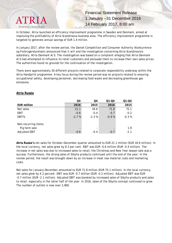

In October, Atria launched an efficiency improvement programme in Sweden and Denmark, aimed at improving the profitability of Atria Scandinavia business area. The efficiency improvement programme is targeted to generate annual savings of EUR 1.4 million.

In January 2017, after the review period, the Danish Competition and Consumer Authority (Konkurrenceog Forbrugerstyrelsen) announced that it will end the investigation concerning Atria Scandinavia's subsidiary, Atria Danmark A/S. The investigation was based on a complaint alleging that Atria Danmark A/S had attempted to influence its retail customers and persuade them to increase their own sales prices. The authorities found no grounds for the continuation of the investigation.

There were approximately 30 different projects related to corporate responsibility underway within the Atria Handprint programme. A key focus during the review period was on projects related to ensuring occupational safety, developing personnel, decreasing food waste and decreasing greenhouse gas emissions.

#### **Atria Russia**

|                      | Q4      | Q4      | $Q1 - Q4$ | $Q1 - Q4$ |
|----------------------|---------|---------|-----------|-----------|
| <b>EUR million</b>   | 2016    | 2015    | 2016      | 2015      |
| Net sales            | 21.1    | 18.6    | 71.8      | 75.1      |
| <b>EBIT</b>          | $-0.6$  | $-0.4$  | $-0.7$    | $-0.2$    |
| EBIT%                | $-2.7%$ | $-2.3%$ | $-0.9%$   | $-0.3%$   |
| Non-recurring items: |         |         |           |           |
| Pig farm sale        |         |         |           | 1.9       |
| <b>Adjusted EBIT</b> | $-0.6$  | $-0.4$  | $-0.7$    | $-2.1$    |

**Atria Russia's** net sales for October-December quarter amounted to EUR 21.1 million (EUR 18.6 million). In the local currency, net sales grew by 8.3 per cent. EBIT was EUR -0.6 million (EUR -0.4 million). The increase in net sales was due to increased sales to retail; the Christmas and New Year season sale was a success. Furthermore, the strong sales of Sibylla products continued until the end of the year. In the review period, the result was brought down by an increase in meat raw material costs and marketing costs.

Net sales for January-December amounted to EUR 71.8 million (EUR 75.1 million). In the local currency, net sales grew by 4.2 percent. EBIT was EUR -0.7 million (EUR -0.2 million). Adjusted EBIT was EUR -0.7 million (EUR -2.1 million). Adjusted EBIT was boosted by increased sales of Sibylla products and sales to retail, especially in the latter half of the year. In 2016, sales of the Sibylla concept continued to grow. The number of outlets is now over 2,800.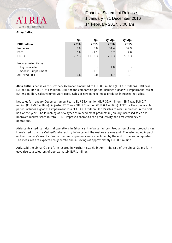#### **Atria Baltic**

Good food - better mood

|                      | Q4                       | Q4        | $Q1 - Q4$ | $Q1 - Q4$ |
|----------------------|--------------------------|-----------|-----------|-----------|
| EUR million          | 2016                     | 2015      | 2016      | 2015      |
| Net sales            | 8.8                      | 8.0       | 34.4      | 32.9      |
| <b>EBIT</b>          | 0.6                      | $-9.1$    | 0.7       | $-9.0$    |
| EBIT%                | 7.2%                     | $-113.6%$ | 2.0%      | $-27.3%$  |
| Non-recurring items: |                          |           |           |           |
| Pig farm sale        | $\overline{\phantom{a}}$ |           | $-1.0$    |           |
| Goodwill impairment  | $\overline{\phantom{a}}$ | $-9.1$    |           | $-9.1$    |
| <b>Adjusted EBIT</b> | 0.6                      | 0.0       | 1.7       | 0.1       |

**Atria Baltic's** net sales for October-December amounted to EUR 8.8 million (EUR 8.0 million). EBIT was EUR 0.6 million (EUR -9.1 million). EBIT for the comparable period includes a goodwill impairment loss of EUR 9.1 million. Sales volumes were good. Sales of new minced meat products increased net sales.

Net sales for January-December amounted to EUR 34.4 million (EUR 32.9 million). EBIT was EUR 0.7 million (EUR -9.0 million). Adjusted EBIT was EUR 1.7 million (EUR 0.1 million). EBIT for the comparable period includes a goodwill impairment loss of EUR 9.1 million. Atria's sales to retail increased in the first half of the year. The launching of new types of minced meat products in January increased sales and improved market share in retail. EBIT improved thanks to the productivity and cost efficiency of operations.

Atria centralised its industrial operations in Estonia at the Valga factory. Production of meat products was transferred from the Vastse-Kuuste factory to Valga and the real estate was sold. The sale had no impact on the company's results. Production rearrangements were concluded by the end of the second quarter. The measures are expected to generate annual savings of approximately EUR 0.5 million.

Atria sold the Linnamäe pig farm located in Northern Estonia in April. The sale of the Linnamäe pig farm gave rise to a sales loss of approximately EUR 1 million.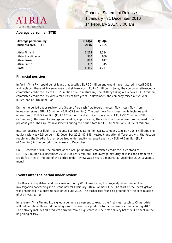## Good food - better mood

**Financial Statement Release** 1 January –31 December 2016 14 February 2017, 8:00 am

#### **Average personnel (FTE)**

| Average personnel by | $Q1 - Q4$ | $Q1 - Q4$ |
|----------------------|-----------|-----------|
| business area (FTE)  | 2016      | 2015      |
|                      |           |           |
| Atria Finland        | 2.214     | 2.214     |
| Atria Scandinavia    | 980       | 930       |
| Atria Russia         | 819       | 812       |
| Atria Baltic         | 302       | 315       |
| Total                | 4,315     | 4.271     |

#### **Financial position**

In April, Atria Plc repaid bullet loans that totalled EUR 50 million and would have matured in April 2018, and replaced these with a seven-year bullet loan worth EUR 40 million. In June, the company refinanced a committed credit facility of EUR 25 million due to mature in June 2018 by taking out a new EUR 30 million committed credit facility with a maturity of five years. In November, the company raised a five-year bullet loan of EUR 40 million.

During the period under review, the Group's free cash flow (operating cash flow - cash flow from investments) was EUR -2.5 million (EUR +65.9 million). The cash flow from investments includes sold operations of EUR 5.2 million (EUR 33.7 million), and acquired operations of EUR -30.2 million (EUR -5.5 million). Because of earnings and working capital items, the cash flow from operations declined from previous year. The Group's investments during the period totalled EUR 82.9 million (EUR 56.9 million).

Interest-bearing net liabilities amounted to EUR 213.3 million (31 December 2015: EUR 195.5 million). The equity ratio was 46.5 percent (31 December 2015: 47.4 %). Netted translation differences with the Russian rouble and the Swedish krona recognised under equity increased equity by EUR +6.6 million (EUR -4.6 million) in the period from January to December.

On 31 December 2016, the amount of the Group's undrawn committed credit facilities stood at EUR 105.0 million (31 December 2015: EUR 125.0 million). The average maturity of loans and committed credit facilities at the end of the period under review was 3 years 9 months (31 December 2015: 3 years 1 month).

#### **Events after the period under review**

The Danish Competition and Consumer Authority (Konkurrence- og Forbrugerstyrelsen) ended the investigation concerning Atria Scandinavia's subsidiary, Atria Danmark A/S. The start of the investigation was announced in a press release on 23 June 2016. The authorities found no grounds for the continuation of the investigation.

In January, Atria Finland Ltd signed a delivery agreement to export the first meat batch to China. Atria will deliver about three million kilograms of frozen pork products to its Chinese customers during 2017. The delivery includes all products derived from a pig's carcase. The first delivery batch will be sent in the beginning of May.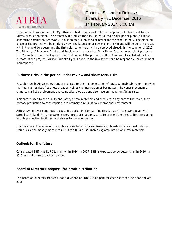

Together with Nurmon Aurinko Oy, Atria will build the largest solar power plant in Finland next to the Nurmo production plant. The project will produce the first industrial-scale solar power plant in Finland, generating completely renewable, emission-free, Finnish solar power for the food industry. The planning phase of the project will begin right away. The largest solar power plant in Finland will be built in phases within the next two years and the first solar panel fields will be deployed already in the summer of 2017. The Ministry of Economic Affairs and Employment has granted Atria Finland's solar power plant project a EUR 2.7 million investment grant. The total value of the project is EUR 6.8 million. Established for the purpose of the project, Nurmon Aurinko Oy will execute the investment and be responsible for equipment maintenance.

#### **Business risks in the period under review and short-term risks**

Possible risks in Atria's operations are related to the implementation of strategy, maintaining or improving the financial results of business areas as well as the integration of businesses. The general economic climate, market development and competitors' operations also have an impact on Atria's risks.

Incidents related to the quality and safety of raw materials and products in any part of the chain, from primary production to consumption, are ordinary risks in Atria's operational environment.

African swine fever continues to cause disruption in Estonia. The risk is that African swine fever will spread to Finland. Atria has taken several precautionary measures to prevent the disease from spreading into its production facilities, and strives to manage the risk.

Fluctuations in the value of the rouble are reflected in Atria Russia's rouble-denominated net sales and result. As a risk-management measure, Atria Russia uses increasing amounts of local raw materials.

#### **Outlook for the future**

Consolidated EBIT was EUR 31.8 million in 2016. In 2017, EBIT is expected to be better than in 2016. In 2017, net sales are expected to grow.

#### **Board of Directors' proposal for profit distribution**

The Board of Directors proposes that a dividend of EUR 0.46 be paid for each share for the financial year 2016.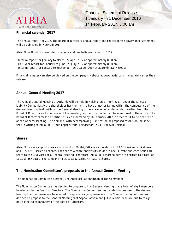

#### **Financial calendar 2017**

The annual report for 2016, the Board of Directors' annual report and the corporate governance statement will be published in week 13/2017.

Atria Plc will publish two interim reports and one half-year report in 2017:

- Interim report for January to March: 27 April 2017 at approximately 8:00 am
- Half-year report for January to June: 20 July 2017 at approximately 8:00 am
- Interim report for January to September: 26 October 2017 at approximately 8:00 am

Financial releases can also be viewed on the company's website at www.atria.com immediately after their release.

#### **Annual General Meeting 2017**

The Annual General Meeting of Atria Plc will be held in Helsinki on 27 April 2017. Under the Limited Liability Companies Act, a shareholder has the right to have a matter falling within the competence of the General Meeting dealt with by the General Meeting if the shareholder so demands in writing from the Board of Directors well in advance of the meeting, so that the matter can be mentioned in the notice. The Board of Directors must be notified of such a demand by 16 February 2017 in order for it to be dealt with at the General Meeting. The demand, with accompanying justification or proposed resolution, must be sent in writing to Atria Plc, Group Legal Affairs, Läkkisepäntie 23, FI-00620 Helsinki.

#### **Shares**

Atria Plc's share capital consists of a total of 28,267,728 shares, divided into 19,063,747 series A shares and 9,203,981 series KII shares. Each series A share entitles its holder to one (1) vote and each series KII share to ten (10) votes at a General Meeting. Therefore, Atria Plc's shareholders are entitled to a total of 111,103,557 votes. The company holds 111,312 series A treasury shares.

#### **The Nomination Committee's proposals to the Annual General Meeting**

The Nomination Committee elected Juho Anttikoski as chairman of the Committee.

The Nomination Committee has decided to propose to the General Meeting that a total of eight members be elected to the Board of Directors. The Nomination Committee has decided to propose to the General Meeting that two members be elected to replace resigning members. The Nomination Committee has decided to propose to the General Meeting that Seppo Paavola and Jukka Moisio, who are due to resign, be re-elected as members of the Board of Directors.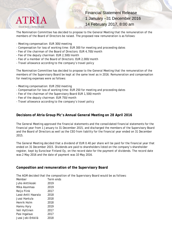

The Nomination Committee has decided to propose to the General Meeting that the remuneration of the members of the Board of Directors be raised. The proposed new remuneration is as follows:

- Meeting compensation: EUR 300/meeting
- Compensation for loss of working time: EUR 300 for meeting and proceeding dates
- Fee of the chairman of the Board of Directors: EUR 4,700/month
- Fee of the deputy chairman: EUR 2,500/month
- Fee of a member of the Board of Directors: EUR 2,000/month
- Travel allowance according to the company's travel policy

The Nomination Committee has decided to propose to the General Meeting that the remuneration of the members of the Supervisory Board be kept at the same level as in 2016. Remuneration and compensation for meeting expenses were as follows:

- Meeting compensation: EUR 250/meeting
- Compensation for loss of working time: EUR 250 for meeting and proceeding dates
- Fee of the chairman of the Supervisory Board EUR 1,500/month
- Fee of the deputy chairman: EUR 750/month
- Travel allowance according to the company's travel policy

#### **Decisions of Atria Group Plc's Annual General Meeting on 28 April 2016**

The General Meeting approved the financial statements and the consolidated financial statements for the financial year from 1 January to 31 December 2015, and discharged the members of the Supervisory Board and the Board of Directors as well as the CEO from liability for the financial year ended on 31 December 2015.

The General Meeting decided that a dividend of EUR 0.40 per share will be paid for the financial year that ended on 31 December 2015. Dividends are paid to shareholders listed on the company's shareholder register, kept by Euroclear Finland Oy, on the record date for the payment of dividends. The record date was 2 May 2016 and the date of payment was 10 May 2016.

#### **Composition and remuneration of the Supervisory Board**

The AGM decided that the composition of the Supervisory Board would be as follows:

| Member              | Term ends |
|---------------------|-----------|
| Juho Anttikoski     | 2019      |
| Mika Asunmaa        | 2019      |
| Reijo Flink         | 2017      |
| Lassi-Antti Haarala | 2018      |
| Jussi Hantula       | 2018      |
| Henrik Holm         | 2018      |
| Hannu Hyry          | 2019      |
| Veli Hyttinen       | 2017      |
| Pasi Ingalsuo       | 2017      |
| Jussi Joki-Erkkilä  | 2018      |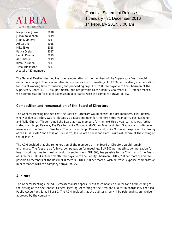

Marja-Liisa Juuse 2018 Jukka Kaikkonen 2019 Juha Kiviniemi 2017 Ari Lajunen 2018 Mika Niku 2018 Pekka Ojala 2017 Heikki Panula 2019 Ahti Ritola 2019 Risto Sairanen 2017 Timo Tuhkasaari 2017 A total of 20 members

**Financial Statement Release** 1 January –31 December 2016 14 February 2017, 8:00 am

The General Meeting decided that the remuneration of the members of the Supervisory Board would remain unchanged. The remuneration is: compensation for meetings: EUR 250 per meeting; compensation for loss of working time for meeting and proceeding days: EUR 250; fee payable to the Chairman of the Supervisory Board: EUR 1,500 per month; and fee payable to the Deputy Chairman: EUR 750 per month, with compensation for travel expenses in accordance with the company's travel policy.

#### **Composition and remuneration of the Board of Directors**

The General Meeting decided that the Board of Directors would consist of eight members. Jyrki Rantsi, who was due to resign, was re-elected as a Board member for the next three-year term. Pasi Korhonen and Nella Ginman-Tjeder joined the Board as new members for the next three-year term. It was further stated that Seppo Paavola, Esa Kaarto, Jukka Moisio, Kjell-Göran Paxal and Harri Sivula shall continue as members of the Board of Directors. The terms of Seppo Paavola and Jukka Moisio will expire at the closing of the AGM in 2017 and those of Esa Kaarto, Kjell-Göran Paxal and Harri Sivula will expire at the closing of the AGM in 2018.

The AGM decided that the remuneration of the members of the Board of Directors would remain unchanged. The fees are as follows: compensation for meetings: EUR 300 per meeting; compensation for loss of working time for meeting and proceeding days; EUR 300; fee payable to the Chairman of the Board of Directors: EUR 4,400 per month; fee payable to the Deputy Chairman: EUR 2,200 per month; and fee payable to members of the Board of Directors: EUR 1,700 per month, with all travel expense compensation in accordance with the company's travel policy.

#### **Auditors**

The General Meeting elected PricewaterhouseCoopers Oy as the company's auditor for a term ending at the closing of the next Annual General Meeting. According to the firm, the auditor in charge is Authorised Public Accountant Samuli Perälä. The AGM decided that the auditor's fee will be paid against an invoice approved by the company.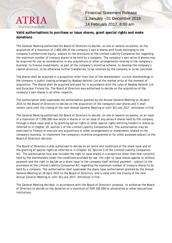

#### **Valid authorisations to purchase or issue shares, grant special rights and make donations**

The General Meeting authorised the Board of Directors to decide, on one or several occasions, on the acquisition of a maximum of 2,800,000 of the company's own A shares with funds belonging to the company's unrestricted equity, subject to the provisions of the Limited Liability Companies Act regarding the maximum number of treasury shares to be held by a company. The company's own series A shares may be acquired for use as consideration in any acquisitions or other arrangements relating to the company's business, to finance investments, as part of the company's incentive scheme, to develop the company's capital structure, to be otherwise further transferred, to be retained by the company or to be cancelled.

The shares shall be acquired in a proportion other than that of the shareholders' current shareholdings in the company in public trading arranged by Nasdaq Helsinki Ltd at the market price at the moment of acquisition. The shares shall be acquired and paid for in accordance with the rules of Nasdaq Helsinki Ltd and Euroclear Finland Oy. The Board of Directors was authorised to decide on the acquisition of the company's own shares in all other respects.

The authorisation shall supersede the authorisation granted by the Annual General Meeting on 28 April 2015 to the Board of Directors to decide on the acquisition of the company's own shares and it shall remain valid until the closing of the next Annual General Meeting or until 30 June 2017, whichever is first.

The General Meeting authorised the Board of Directors to decide, on one or several occasions, on an issue of a maximum of 7,000,000 new series A shares or on an issue of any series A shares held by the company through a share issue and/or by granting option rights or other special rights entitling holders to shares as referred to in chapter 10, section 1 of the Limited Liability Companies Act. The authorisation may be exercised to finance or execute any acquisitions or other arrangements or investments related to the company's business, to implement the company's incentive programme or for other purposes subject to the Board of Directors' decision.

The Board of Directors is also authorised to decide on all terms and conditions of the share issue and of the granting of special rights as referred to in Chapter 10, Section 1 of the Limited Liability Companies Act. The authorisation thus also includes the right to issue shares in a proportion other than that currently held by the shareholders under the conditions provided by law, the right to issue shares against or without payment and the right to decide on a share issue to the company itself without payment – subject to the provisions of the Limited Liability Companies Act regarding the maximum number of treasury shares to be held by a company. The authorisation shall supersede the share issue authorisation granted by the Annual General Meeting on 28 April 2015 to the Board of Directors, and is valid until the closing of the next Annual General Meeting or until 30 June 2017, whichever is first.

The General Meeting decided, in accordance with the Board of Directors' proposal, to authorise the Board of Directors to decide on the donation of a maximum of EUR 100,000 to universities or other educational institutions.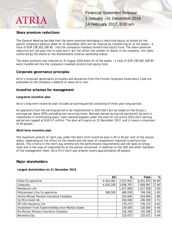

#### **Share premium reductions**

The General Meeting decided that the share premium belonging to restricted equity as stated on the parent company's balance sheet on 31 December 2015 will be reduced by transferring all of the assets – a total of EUR 138,502,108.85 – into the company's invested unrestricted equity fund. The share premium reduction will not give rise to costs and it will not affect the number of shares in the company, the rights conferred by the shares or the shareholders' relative ownership stakes.

The share premium was reduced on 31 August 2016 when all of the assets – a total of EUR 138,502,108.85 – were transferred into the company's invested unrestricted equity fund.

#### **Corporate governance principles**

Atria's corporate governance principles and deviations from the Finnish Corporate Governance Code are published on the company's website at www.atria.com.

#### **Incentive schemes for management**

#### **Long-term incentive plan**

Atria's long-term incentive plan includes an earning period consisting of three year-long periods.

All payments from the earning period to be implemented in 2015–2017 will be based on the Group's earnings per share (EPS) excluding non-recurring items. Bonuses earned during the period will be paid in instalments in forthcoming years. Cash rewards payable under the plan for the entire 2015–2017 earning period are capped at EUR 4.5 million. The plan will expire on 31 December 2017, and it covers a maximum of 45 people.

#### **Short-term incentive plan**

The maximum amount of merit pay under the short-term incentive plan is 35 to 50 per cent of the annual salary, depending on the effect on the results and the level of competence required to perform the duties. The criteria in the merit pay scheme are the performance requirements and net sales at Group level and in the area of responsibility of the person concerned. In addition to the CEO and other members of the management team, Atria Plc's merit pay scheme covers approximately 40 people.

#### **Major shareholders**

#### **Largest shareholders on 31 December 2016**

|                                                  | KII       | А         | Total     | %     |
|--------------------------------------------------|-----------|-----------|-----------|-------|
| Itikka Co-operative                              | 4,914,281 | 3,537,652 | 8,451,933 | 29.90 |
| Lihakunta                                        | 4,020,200 | 3,838,797 | 7,858,997 | 27.80 |
| Mandatum Life                                    |           | 1,017,858 | 1,017,858 | 3.60  |
| Pohjanmaan Liha Co-operative                     | 269,500   | 480,038   | 749,538   | 2.65  |
| Varma Mutual Pension Insurance Company           |           | 524,640   | 524,640   | 1.86  |
| Oy Etra Invest Ab                                |           | 200,000   | 200,000   | 0.71  |
| OP Life Insurance Ltd                            |           | 176,272   | 176,272   | 0.62  |
| Investment Fund Taalerintehdas Arvo Markka Osake |           | 130,000   | 130,000   | 0.46  |
| Elo Mutual Pension Insurance Company             |           | 126,289   | 126,289   | 0.45  |
| Norvestia Oyj                                    |           | 125,672   | 125,672   | 0.44  |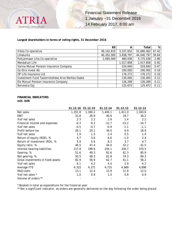

#### **Largest shareholders in terms of voting rights, 31 December 2016**

|                                                  | KII        | А         | Total      | %     |
|--------------------------------------------------|------------|-----------|------------|-------|
| Itikka Co-operative                              | 49,142,810 | 3,537,652 | 52,680,462 | 47.42 |
| Lihakunta                                        | 40,202,000 | 3,838,797 | 44,040,797 | 39.64 |
| Pohjanmaan Liha Co-operative                     | 2,695,000  | 480,038   | 3,175,038  | 2.86  |
| Mandatum Life                                    |            | 1,017,858 | 1,017,858  | 0.92  |
| Varma Mutual Pension Insurance Company           |            | 524,640   | 524,640    | 0.47  |
| Oy Etra Invest Ab                                |            | 200,000   | 200,000    | 0.18  |
| OP Life Insurance Ltd                            |            | 176,272   | 176,272    | 0.16  |
| Investment Fund Taalerintehdas Arvo Markka Osake |            | 130,000   | 130,000    | 0.12  |
| Elo Mutual Pension Insurance Company             |            | 126,289   | 126,289    | 0.11  |
| Norvestia Oyj                                    |            | 125,672   | 125,672    | 0.11  |

#### **FINANCIAL INDICATORS mill. EUR**

|                                   |         | 31.12.16 31.12.15 | 31.12.14 | 31.12.13 | 31.12.12 |
|-----------------------------------|---------|-------------------|----------|----------|----------|
| Net sales                         | 1,351.8 | 1,340.2           | 1,426.1  | 1,411.0  | 1,343.6  |
| EBIT                              | 31.8    | 28.9              | 40.6     | 19.7     | 30.2     |
| % of net sales                    | 2.3     | 2.2               | 2.8      | 1.4      | 2.2      |
| Financial income and expenses     | $-6.3$  | $-9.2$            | $-12.7$  | $-15.2$  | $-14.7$  |
| % of net sales                    | $-0.5$  | $-0.7$            | $-0.9$   | $-1.1$   | $-1.1$   |
| Profit before tax                 | 26.1    | 20.1              | 34.0     | 6.9      | 18.9     |
| % of net sales                    | 1.9     | 1.5               | 2.4      | 0.5      | 1.4      |
| Return of equity (ROE), %         | 4.7     | 3.6               | 6.6      | $-1.0$   | 2.4      |
| Return of investment (ROI), %     | 5.9     | 5.6               | 8.3      | 3.7      | 4.7      |
| Equity ratio, %                   | 46.5    | 47.4              | 44.0     | 42.2     | 41.5     |
| Interest-bearing liabilities      | 217.8   | 199.6             | 254.1    | 334.7    | 370.5    |
| Gearing, %                        | 51.6    | 49.3              | 62.6     | 81.3     | 85.9     |
| Net gearing, %                    | 50.5    | 48.3              | 61.8     | 74.3     | 84.3     |
| Gross investments in fixed assets | 82.9    | 56.9              | 62.7     | 41.1     | 56.2     |
| % of net sales                    | 6.1     | 4.2               | 4.4      | 2.9      | 4.2      |
| Average FTE                       | 4,315   | 4,271             | 4,715    | 4,669    | 4,898    |
| R&D costs                         | 13.1    | 12.4              | 13.9     | 11.8     | 12.0     |
| % of net sales *                  | 1.0     | 0.9               | 1.0      | 0.8      | 0.9      |
| Volume of orders **               |         |                   |          |          |          |

\* Booked in total as expenditure for the financial year

\*\* Not a significant indicator, as orders are generally delivered on the day following the order being placed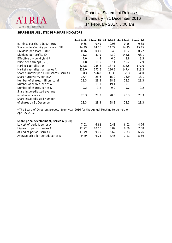18/29 Financial Statement Release 1 January –31 December 2016

14 February 2017, 8:00 am

#### **SHARE-ISSUE ADJUSTED PER-SHARE INDICATORS**

**ATRIA** 

Good food - better mood.

|                                           | 31.12.16 |       | 31.12.15 31.12.14 31.12.13 31.12.12 |          |         |
|-------------------------------------------|----------|-------|-------------------------------------|----------|---------|
| Earnings per share (EPS), EUR             | 0.65     | 0.49  | 0.93                                | $-0.15$  | 0.35    |
| Shareholders' equity per share, EUR       | 14.49    | 14.16 | 14.22                               | 14.45    | 15.15   |
| Dividend per share, EUR*                  | 0.46     | 0.40  | 0.40                                | 0.22     | 0.22    |
| Dividend per profit, %*                   | 71.2     | 81.9  | 43.0                                | $-142.8$ | 63.1    |
| Effective dividend yield *                | 4.0      | 4.4   | 6.0                                 | 2.8      | 3.5     |
| Price per earnings (P/E)                  | 17.8     | 18.5  | 7.1                                 | $-50.2$  | 17.9    |
| Market capitalisation                     | 324.8    | 255.8 | 187.1                               | 218.5    | 177.0   |
| Market capitalisation, series A           | 219.0    | 172.5 | 126.2                               | 147.4    | 119.3   |
| Share turnover per 1 000 shares, series A | 3 3 1 3  | 5443  | 3 0 3 5                             | 3 2 2 3  | 3 4 6 0 |
| Share turnover %, series A                | 17.4     | 28.6  | 15.9                                | 16.9     | 18.1    |
| Number of shares, million, total          | 28.3     | 28.3  | 28.3                                | 28.3     | 28.3    |
| Number of shares, series A                | 19.1     | 19.1  | 19.1                                | 19.1     | 19.1    |
| Number of shares, series KII              | 9.2      | 9.2   | 9.2                                 | 9.2      | 9.2     |
| Share issue-adjusted average              |          |       |                                     |          |         |
| number of shares                          | 28.3     | 28.3  | 28.3                                | 28.3     | 28.3    |
| Share issue-adjusted number               |          |       |                                     |          |         |
| of shares on 31 December                  | 28.3     | 28.3  | 28.3                                | 28.3     | 28.3    |

\* The Board of Directors proposal from year 2016 for the Annual Meeting to be held on April 27 2017.

#### **Share price development, series A (EUR)**

| Lowest of period, series A         | 7.61  | 6.62  | 643  | 6.01 | 4.76 |
|------------------------------------|-------|-------|------|------|------|
| Highest of period, series A        | 12.22 | 10.50 | 889  | 8.39 | 7.08 |
| At end of period, series A         | 11.49 | 9.05  | 6.62 | 7.73 | 6.26 |
| Average price for period, series A | 949   | 9.03  | 7.46 |      | 5.89 |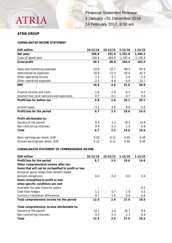

#### **ATRIA GROUP**

#### **CONSOLIDATED INCOME STATEMENT**

| <b>EUR million</b>                        | 10-12/16 | 10-12/15 | $1-12/16$  | $1 - 12/15$ |
|-------------------------------------------|----------|----------|------------|-------------|
| Net sales                                 | 356.8    | 351.0    | 1,351.8    | 1,340.2     |
| Costs of goods sold                       | $-310.6$ | $-303.0$ | $-1,187.4$ | $-1,176.9$  |
| Gross profit                              | 46.2     | 48.0     | 164.4      | 163.3       |
| Sales and marketing expenses              | $-23.8$  | $-22.7$  | $-89.4$    | $-87.6$     |
| Administrative expenses                   | $-10.9$  | $-11.4$  | $-43.0$    | $-41.5$     |
| Other operating income                    | 1.3      | 0.7      | 4.6        | 5.5         |
| Other operating expenses                  | $-2.0$   | $-9.9$   | $-4.8$     | $-10.7$     |
| <b>EBIT</b>                               | 10.8     | 4.8      | 31.8       | 28.9        |
| Finance income and costs                  | $-1.6$   | $-1.9$   | $-6.3$     | $-9.2$      |
| Income from joint ventures and associates | 0.7      | $-0.1$   | 0.7        | 0.4         |
| Profit/loss for before tax                | 9.8      | 2.8      | 26.1       | 20.1        |
| Income taxes                              | $-3.1$   | 0.6      | $-6.6$     | $-5.5$      |
| Profit/loss for the period                | 6.7      | 3.5      | 19.6       | 14.6        |
| Profit attributable to:                   |          |          |            |             |
| Owners of the parent                      | 6.3      | 3.2      | 18.2       | 13.8        |
| Non-controlling interests                 | 0.4      | 0.2      | 1.4        | 0.8         |
| Total                                     | 6.7      | 3.5      | 19.6       | 14.6        |
| Basic earnings per share, EUR             | 0.22     | 0.11     | 0.65       | 0.49        |
| Diluted earnings per share, EUR           | 0.22     | 0.11     | 0.65       | 0.49        |

#### **CONSOLIDATED STATEMENT OF COMPREHENSIVE INCOME**

| <b>EUR million</b>                                    | 10-12/16 | 10-12/15 | $1-12/16$ | 1-12/15          |
|-------------------------------------------------------|----------|----------|-----------|------------------|
| Profit/loss for the period                            | 6.7      | 3.5      | 19.6      | 14.6             |
| Other comprehensive income after tax:                 |          |          |           |                  |
| Items that will not be reclassified to profit or loss |          |          |           |                  |
| Actuarial gains/losses from benefit-based             |          |          |           |                  |
| pension obligations                                   | 0.0      | 0.4      | 0.0       | 0.4              |
| Items reclassified to profit or loss                  |          |          |           |                  |
| when specific conditions are met                      |          |          |           |                  |
| Available-for-sale financial assets                   |          |          |           | $-0.2$           |
| Cash flow hedges                                      | 1.1      | 0.7      | 1.8       | $0.2^{\circ}$    |
| Currency translation differences                      | 4.7      | $-1.6$   | 6.6       | -4.6             |
| Total comprehensive income for the period             | 12.5     | 2.9      | 27.9      | 10.5             |
| Total comprehensive income attributable to:           |          |          |           |                  |
| Owners of the parent                                  | 12.1     | 2.6      | 26.7      | 9.6              |
| Non-controlling interests                             | 0.4      | 0.3      | 1.3       | 0.9 <sup>°</sup> |
| Total                                                 | 12.5     | 2.9      | 27.9      | 10.5             |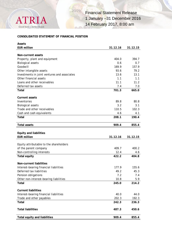

#### **CONSOLIDATED STATEMENT OF FINANCIAL POSITION**

| Assets                                       |          |          |
|----------------------------------------------|----------|----------|
| <b>EUR million</b>                           | 31.12.16 | 31.12.15 |
|                                              |          |          |
| Non-current assets                           |          |          |
| Property, plant and equipment                | 404.0    | 394.7    |
| <b>Biological assets</b>                     | 0.6      | 0.7      |
| Goodwill                                     | 169.9    | 157.9    |
| Other intangible assets                      | 93.6     | 79.2     |
| Investments in joint ventures and associates | 13.6     | 13.1     |
| Other financial assets                       | 1.1      | 1.1      |
| Loans and other receivables                  | 11.1     | 11.2     |
| Deferred tax assets                          | 7.4      | 7.0      |
| Total                                        | 701.3    | 665.0    |
| <b>Current assets</b>                        |          |          |
| Inventories                                  | 89.8     | 80.8     |
| <b>Biological assets</b>                     | 3.2      | 3.1      |
| Trade and other receivables                  | 110.5    | 102.3    |
| Cash and cash equivalents                    | 4.6      | 4.1      |
| Total                                        | 208.1    | 190.4    |
| <b>Total assets</b>                          | 909.4    | 855.4    |
|                                              |          |          |
| <b>Equity and liabilities</b>                |          |          |
| <b>EUR million</b>                           | 31.12.16 | 31.12.15 |
|                                              |          |          |
| Equity attributable to the shareholders      |          |          |
| of the parent company                        | 409.7    | 400.2    |
| Non-controlling interests                    | 12.4     | 4.6      |
| <b>Total equity</b>                          | 422.2    | 404.8    |
| Non-current liabilities                      |          |          |
| Interest-bearing financial liabilities       | 177.9    | 155.6    |
| Deferred tax liabilities                     | 49.2     | 45.3     |
| Pension obligations                          | 7.2      | 7.4      |
| Other non-interest-bearing liabilities       | 10.8     | 5.9      |
| Total                                        | 245.0    | 214.2    |
| <b>Current liabilities</b>                   |          |          |
| Interest-bearing financial liabilities       | 40.0     | 44.0     |
| Trade and other payables                     | 202.3    | 192.3    |
| Total                                        | 242.3    | 236.3    |
|                                              |          |          |
| <b>Total liabilities</b>                     | 487.3    | 450.6    |
| <b>Total equity and liabilities</b>          | 909.4    | 855.4    |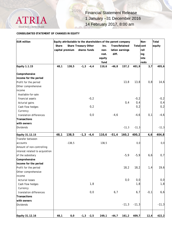

#### **CONSOLIDATED STATEMENT OF CHANGES IN EQUITY**

| <b>EUR</b> million              |       |                 | Equity attributable to the shareholders of the parent company |        |         |                       |                   | Non-   | Total   |
|---------------------------------|-------|-----------------|---------------------------------------------------------------|--------|---------|-----------------------|-------------------|--------|---------|
|                                 | Share |                 | Share Treasury Other                                          | Inv.   |         | <b>Trans Retained</b> | <b>Total</b> cont |        | equity  |
|                                 |       | capital premium | shares funds                                                  | non-   |         | lation earnings       |                   | roll   |         |
|                                 |       |                 |                                                               | rest.  | diff.   |                       |                   | ing    |         |
|                                 |       |                 |                                                               | equity |         |                       |                   | inte   |         |
|                                 |       |                 |                                                               | fund   |         |                       |                   | rests  |         |
| <b>Equity 1.1.15</b>            | 48,1  | 138,5           | $-1,3$<br>$-4, 4$                                             | 110,6  | $-46,8$ | 157,2                 | 401,9             | 3,7    | 405,6   |
| Comprehensive                   |       |                 |                                                               |        |         |                       |                   |        |         |
| income for the period           |       |                 |                                                               |        |         |                       |                   |        |         |
| Profit for the period           |       |                 |                                                               |        |         | 13,8                  | 13,8              | 0,8    | 14,6    |
| Other comprehensive             |       |                 |                                                               |        |         |                       |                   |        |         |
| income                          |       |                 |                                                               |        |         |                       |                   |        |         |
| Available-for-sale              |       |                 |                                                               |        |         |                       |                   |        |         |
| financial assets                |       |                 | $-0,2$                                                        |        |         |                       | $-0,2$            |        | $-0,2$  |
| Acturial gains                  |       |                 |                                                               |        |         | 0,4                   | 0,4               |        | 0,4     |
| Cash flow hedges                |       |                 | 0,2                                                           |        |         |                       | 0,2               |        | 0,2     |
| Currency                        |       |                 |                                                               |        |         |                       |                   |        |         |
| translation differences         |       |                 | 0,0                                                           |        | $-4,6$  |                       | $-4, 6$           | 0,1    | $-4,6$  |
| Transactions                    |       |                 |                                                               |        |         |                       |                   |        |         |
| with owners                     |       |                 |                                                               |        |         |                       |                   |        |         |
| <b>Dividends</b>                |       |                 |                                                               |        |         | $-11,3$               | $-11,3$           |        | $-11,3$ |
| Equity 31.12.15                 | 48,1  | 138,5           | $-1,3 -4,4$                                                   | 110,6  | $-51,4$ | 160,2                 | 400,2             | 4,6    | 404,8   |
| Transfer between                |       |                 |                                                               |        |         |                       |                   |        |         |
| accounts                        |       | $-138,5$        |                                                               | 138,5  |         |                       | 0,0               |        | 0, 0    |
| Amount of non-controlling       |       |                 |                                                               |        |         |                       |                   |        |         |
| interest related to acquisition |       |                 |                                                               |        |         |                       |                   |        |         |
| of the subsidiary               |       |                 |                                                               |        |         | $-5,9$                | $-5,9$            | 6,6    | 0,7     |
| Comprehensive                   |       |                 |                                                               |        |         |                       |                   |        |         |
| income for the period           |       |                 |                                                               |        |         |                       |                   |        |         |
| Profit for the period           |       |                 |                                                               |        |         | 18,2                  | 18,2              | 1,4    | 19,6    |
| Other comprehensive             |       |                 |                                                               |        |         |                       |                   |        |         |
| income                          |       |                 |                                                               |        |         |                       |                   |        |         |
| <b>Acturial losses</b>          |       |                 |                                                               |        |         | 0,0                   | 0, 0              |        | 0,0     |
| Cash flow hedges                |       |                 | 1,8                                                           |        |         |                       | 1,8               |        | 1,8     |
| Currency                        |       |                 |                                                               |        |         |                       |                   |        |         |
| translation differences         |       |                 | 0,0                                                           |        | 6,7     |                       | 6,7               | $-0,1$ | 6,6     |
| Transactions                    |       |                 |                                                               |        |         |                       |                   |        |         |
| with owners                     |       |                 |                                                               |        |         |                       |                   |        |         |
| <b>Dividends</b>                |       |                 |                                                               |        |         | $-11,3$               | $-11,3$           |        | $-11,3$ |
|                                 |       |                 |                                                               |        |         |                       |                   |        |         |
| Equity 31.12.16                 | 48,1  | 0,0             | $-1,3 -2,5$                                                   | 249,1  | $-44,7$ | 161, 2                | 409,7             | 12,4   | 422,2   |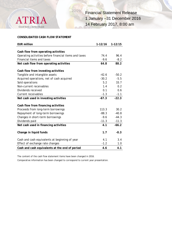

#### **CONSOLIDATED CASH FLOW STATEMENT**

| <b>EUR million</b>                                    | $1-12/16$ | $1 - 12/15$ |
|-------------------------------------------------------|-----------|-------------|
|                                                       |           |             |
| Cash flow from operating activities                   |           |             |
| Operating activities before financial items and taxes | 74.4      | 96.4        |
| <b>Financial items and taxes</b>                      | $-9.6$    | $-8.2$      |
| Net cash flow from operating activities               | 64.8      | 88.2        |
|                                                       |           |             |
| Cash flow from investing activities                   |           |             |
| Tangible and intangible assets                        | $-42.6$   | $-50.2$     |
| Acquired operations, net of cash acquired             | $-30.2$   | $-5.5$      |
| Sold operations                                       | 5.2       | 33.7        |
| Non-current receivables                               | 1.4       | 0.2         |
| Dividends received                                    | 0.1       | 0.6         |
| Current receivables                                   | $-1.3$    | $-1.1$      |
| Net cash used in investing activities                 | $-67.3$   | $-22.3$     |
|                                                       |           |             |
| Cash flow from financing activities                   |           |             |
| Proceeds from long-term borrowings                    | 113.3     | 30.2        |
| Repayment of long-term borrowings                     | $-88.3$   | $-40.8$     |
| Changes in short-term borrowings                      | $-9.6$    | $-44.3$     |
| Dividends paid                                        | $-11.3$   | $-11.3$     |
| Net cash used in financing activities                 | 4.1       | $-66.2$     |
|                                                       |           |             |
| Change in liquid funds                                | 1.7       | $-0.3$      |
| Cash and cash equivalents at beginning of year        | 4.1       | 3.4         |
| Effect of exchange rate changes                       | $-1.2$    | 1.0         |
| Cash and cash equivalents at the end of period        | 4.6       | 4.1         |

The content of the cash flow statement items have been changed in 2016.

Comparative information has been changed to correspond to current year presentation.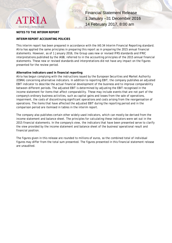

#### **NOTES TO THE INTERIM REPORT**

#### **INTERIM REPORT ACCOUNTING POLICIES**

This interim report has been prepared in accordance with the IAS 34 Interim Financial Reporting standard. Atria has applied the same principles in preparing this report as in preparing the 2015 annual financial statements. However, as of 1 January 2016, the Group uses new or revised IFRS standards and IFRIC interpretations published by the IASB, referred to in the accounting principles of the 2015 annual financial statements. These new or revised standards and interpretations did not have any impact on the figures presented for the review period.

#### **Alternative indicators used in financial reporting**

Atria has begun complying with the instructions issued by the European Securities and Market Authority (ESMA) concerning alternative indicators. In addition to reporting EBIT, the company publishes an adjusted EBIT indicator to describe the actual financial development of the business and to improve comparability between different periods. The adjusted EBIT is determined by adjusting the EBIT recognised in the income statement for items that affect comparability. These may include events that are not part of the company's ordinary business activities, such as capital gains and losses from the sale of operations, impairment, the costs of discontinuing significant operations and costs arising from the reorganisation of operations. The items that have affected the adjusted EBIT during the reporting period and in the comparison period are itemised in tables in the interim report.

The company also publishes certain other widely-used indicators, which can mostly be derived from the income statement and balance sheet. The principles for calculating these indicators were set out in the 2015 financial statements. In the company's view, the indicators that have been presented serve to clarify the view provided by the income statement and balance sheet of the business' operational result and financial position.

The figures given in this release are rounded to millions of euros, so the combined total of individual figures may differ from the total sum presented. The figures presented in this financial statement release are unaudited.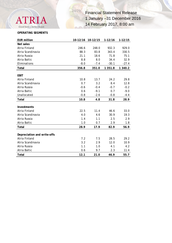

#### **OPERATING SEGMENTS**

| <b>EUR million</b>                 | 10-12/16      | 10-12/15         | $1 - 12/16$   | $1 - 12/15$      |
|------------------------------------|---------------|------------------|---------------|------------------|
| Net sales                          |               |                  |               |                  |
| Atria Finland                      | 246.6         | 248.0            | 932.3         | 929.0            |
| Atria Scandinavia                  | 88.3          | 83.8             | 343.4         | 330.5            |
| Atria Russia                       | 21.1          | 18.6             | 71.8          | 75.1             |
| Atria Baltic                       | 8.8           | 8.0              | 34.4          | 32.9             |
| Eliminations                       | $-8.0$        | $-7.4$           | $-30.1$       | $-27.4$          |
| <b>Total</b>                       | 356.8         | 351.0            | 1 351.8       | 1 340.2          |
|                                    |               |                  |               |                  |
| <b>EBIT</b>                        |               |                  |               |                  |
| Atria Finland<br>Atria Scandinavia | 10.8<br>0.7   | 13.7<br>3.2      | 24.2<br>8.4   | 29.8<br>12.8     |
| Atria Russia                       |               |                  |               |                  |
| Atria Baltic                       | $-0.6$<br>0.6 | $-0.4$<br>$-9.1$ | $-0.7$<br>0.7 | $-0.2$<br>$-9.0$ |
| Unallocated                        | $-0.8$        | $-2.6$           | $-0.8$        | $-4.4$           |
|                                    |               |                  |               |                  |
| <b>Total</b>                       | 10.8          | 4.8              | 31.8          | 28.9             |
| <b>Investments</b>                 |               |                  |               |                  |
| Atria Finland                      | 22.5          | 11.4             | 46.6          | 33.0             |
| Atria Scandinavia                  | 4.0           | 4.6              | 30.9          | 19.3             |
| Atria Russia                       | 1.4           | 1.1              | 2.5           | 2.9              |
| Atria Baltic                       | 1.0           | 0.7              | 2.9           | 1.8              |
| Total                              | 28.9          | 17.9             | 82.9          | 56.9             |
|                                    |               |                  |               |                  |
| Depreciation and write-offs        |               |                  |               |                  |
| Atria Finland                      | 7.2           | 7.5              | 28.5          | 29.2             |
| Atria Scandinavia                  | 3.2           | 2.9              | 12.0          | 10.9             |
| Atria Russia                       | 1.1           | 1.0              | 4.1           | 4.2              |
| Atria Baltic                       | 0.6           | 9.7              | 2.3           | 11.4             |
| <b>Total</b>                       | 12.1          | 21.0             | 46.9          | 55.7             |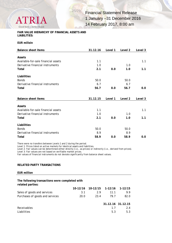

#### **FAIR VALUE HIERARCHY OF FINANCIAL ASSETS AND LIABILITIES:**

**EUR milloin**

| <b>Balance sheet items</b>          | 31.12.16 | Level 1 | Level 2 | Level 3 |
|-------------------------------------|----------|---------|---------|---------|
|                                     |          |         |         |         |
| Assets                              |          |         |         |         |
| Available-for-sale financial assets | 1.1      |         |         | 1.1     |
| Derivative financial instruments    | 1.0      |         | 1.0     |         |
| Total                               | 2.1      | 0.0     | 1.0     | 1.1     |
| Liabilities                         |          |         |         |         |
| <b>Bonds</b>                        | 50.0     |         | 50.0    |         |
| Derivative financial instruments    | 6.7      |         | 6.7     |         |
| Total                               | 56.7     | 0.0     | 56.7    | 0.0     |
|                                     |          |         |         |         |
| <b>Balance sheet items</b>          | 31.12.15 | Level 1 | Level 2 | Level 3 |
|                                     |          |         |         |         |
|                                     |          |         |         |         |
| Assets                              |          |         |         |         |
| Available-for-sale financial assets | 1.1      |         |         | 1.1     |
| Derivative financial instruments    | 1.0      |         | 1.0     |         |
| Total                               | 2.1      | 0.0     | 1.0     | 1.1     |
| Liabilities                         |          |         |         |         |
| <b>Bonds</b>                        | 50.0     |         | 50.0    |         |
| Derivative financial instruments    | 8.9      |         | 8.9     |         |

There were no transfers between Levels 1 and 2 during the period.

Level 1: Prices listed on active markets for identical assets and liabilities.

Level 2: Fair values can be determined either directly (i.e., as prices) or indirectly (i.e., derived from prices).

Level 3: Fair values are not based on verifiable market prices.

Fair values of financial instruments do not deviate significantly from balance sheet values.

#### **RELATED PARTY TRANSACTIONS**

#### **EUR million**

**The following transactions were completed with related parties:**

|                                 |      | 10-12/16 10-12/15 1-12/16 1-12/15 |                   |      |
|---------------------------------|------|-----------------------------------|-------------------|------|
| Sales of goods and services     | 3.1  | 2.9                               | 11.1              | 9.9  |
| Purchases of goods and services | 20.0 | 23.4                              | 79.7              | 82.0 |
|                                 |      |                                   |                   |      |
|                                 |      |                                   | 31.12.16 31.12.15 |      |
| Receivables                     |      |                                   | 17                | 2.4  |
| Liabilities                     |      |                                   | 5.3               | 5.3  |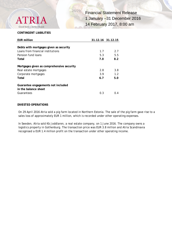

#### **CONTINGENT LIABILITIES**

| <b>EUR million</b>                        | 31.12.16 31.12.15 |       |
|-------------------------------------------|-------------------|-------|
|                                           |                   |       |
| Debts with mortgages given as security    |                   |       |
| Loans from financial institutions         | 1.7               | 2.7   |
| Pension fund loans                        | 5.3               | 5.5   |
| Total                                     | 7.0               | 8.2   |
| Mortgages given as comprehensive security |                   |       |
| Real estate mortgages                     | 2.8               | 3.8   |
| Corporate mortgages                       | 3.9               | 1.2   |
| Total                                     | 6.7               | 5.0   |
| Guarantee engagements not included        |                   |       |
| in the balance sheet                      |                   |       |
| Guarantees                                | 0.3               | (1.4) |

#### **DIVESTED OPERATIONS**

On 29 April 2016 Atria sold a pig farm located in Northern Estonia. The sale of the pig farm gave rise to a sales loss of approximately EUR 1 million, which is recorded under other operating expenses.

In Sweden, Atria sold Kb Joddlaren, a real estate company, on 1 June 2016. The company owns a logistics property in Gothenburg. The transaction price was EUR 3.8 million and Atria Scandinavia recognised a EUR 1.4 million profit on the transaction under other operating income.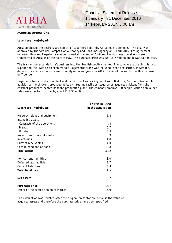

#### **ACQUIRED OPERATIONS**

#### **Lagerberg i Norjeby AB:**

Atria purchased the entire share capital of Lagerberg i Norjeby AB, a poultry company. The deal was approved by the Swedish Competition Authority and Consumer Agency on 1 April 2016. The agreement between Atria and Lagerbergs was confirmed at the end of April and the business operations were transferred to Atria as of the start of May. The purchase price was EUR 18.7 million and it was paid in cash.

The transaction expands Atria's business into the Swedish poultry market. The company is the third largest supplier on the Swedish chicken market. Lagerbergs brand was included in the acquisition. In Sweden, demand for chicken has increased steadily in recent years. In 2015, the retail market for poultry increased by 7 per cent.

Lagerbergs has a production plant and its own chicken rearing facilities in Blekinge, Southern Sweden. In addition to the chickens produced at its own rearing facilities, Lagerbergs acquires chickens from the contract producers located near the production plant. The company employs 120 people. Atria's annual net sales are expected to grow by about EUR 30 million.

|                                        | Fair value used    |
|----------------------------------------|--------------------|
| Lagerberg i Norjeby AB                 | in the acquisition |
|                                        |                    |
| Property, plant and equipment          | 6.4                |
| Intangible assets                      |                    |
| Contracts of the operations            | 4.8                |
| <b>Brands</b>                          | 5.7                |
| Goodwill                               | 3.9                |
| Non-current financial assets           | 0.9                |
| Inventories                            | 1.8                |
| Current receivables                    | 4.0                |
| Cash in hand and at bank               | 2.8                |
| <b>Total assets</b>                    | 30.2               |
|                                        |                    |
| Non-current liabilities                | 3.0                |
| Deferred tax liabilities               | 2.7                |
| <b>Current liabilities</b>             | 5.8                |
| <b>Total liabilities</b>               | 11.5               |
|                                        |                    |
| Net assets                             | 18.7               |
|                                        |                    |
| Purchace price                         | 18.7               |
| Effect of the acquisition on cash flow | 15.9               |

The calculation was updated after the original presentation, because the value of acquired assets and therefore the purchase price have been specified.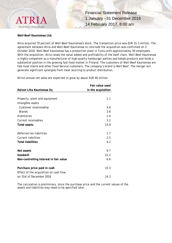

**Well-Beef Kaunismaa Ltd:**

Atria acquired 70 percent of Well-Beef Kaunismaa's stock. The transaction price was EUR 15.3 million. The agreement between Atria and Well-Beef Kaunismaa to conclude the acquisition was confirmed on 3 October 2016. Well-Beef Kaunismaa has a production plant in Turku with approximately 50 employees. With the acquisition, Atria raises the value added and profitability of the beef chain. Well-Beef Kaunismaa is highly competent as a manufacturer of high-quality hamburger patties and kebab products and holds a substantial position in the growing fast-food market in Finland. The customers of Well-Beef Kaunismaa are fast-food chains and other Food Service customers. The company's brand is Well Beef. The merger will generate significant synergies from meat sourcing to product distribution.

Atria's annual net sales are expected to grow by about EUR 40 million.

|                                        | Fair value used    |
|----------------------------------------|--------------------|
| Kaivon Liha Kaunismaa Oy               | in the acquisition |
|                                        |                    |
| Property, plant and equipment          | 1.1                |
| Intangible assets                      |                    |
| Customer relationsship                 | 4.6                |
| <b>Brands</b>                          | 3.6                |
| Inventories                            | 1.4                |
| Current receivables                    | 3.2                |
| <b>Total assets</b>                    | 13.9               |
|                                        |                    |
| Deferred tax liabilities               | 1.7                |
| <b>Current liabilities</b>             | 2.5                |
| <b>Total liabilities</b>               | 4.2                |
|                                        |                    |
| Net assets                             | 9.7                |
| Goodwill                               | 12.2               |
| Non-controlling interest in fair value | 6.6                |
|                                        |                    |
| Purchace price paid in cash            | 15.3               |
| Effect of the acquisition on cash flow |                    |
| on 31st of December 2016               | 14.3               |

The calculation is preliminary, since the purchase price and the current values of the assets and liabilities may need to be specified later.